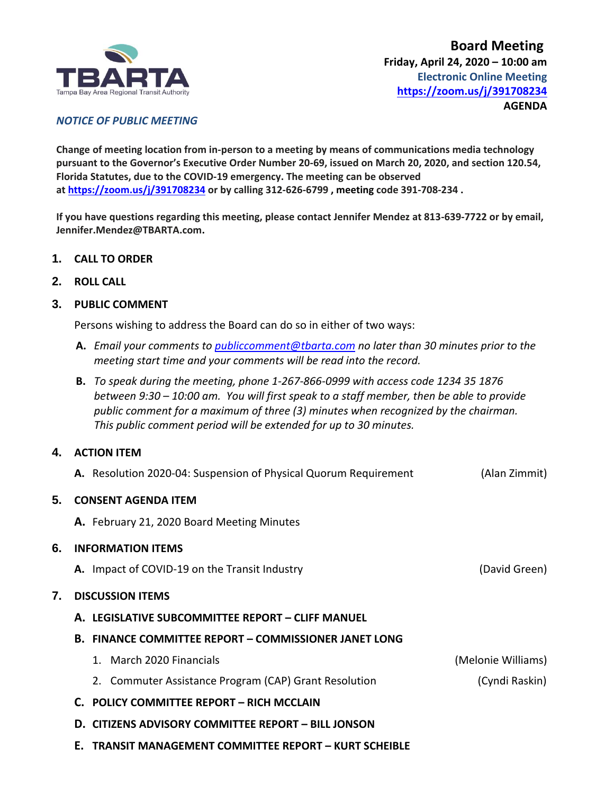

## *NOTICE OF PUBLIC MEETING*

**Change of meeting location from in-person to a meeting by means of communications media technology pursuant to the Governor's Executive Order Number 20-69, issued on March 20, 2020, and section 120.54, Florida Statutes, due to the COVID-19 emergency. The meeting can be observed at <https://zoom.us/j/391708234> or by calling 312-626-6799 , meeting code 391-708-234 .**

**If you have questions regarding this meeting, please contact Jennifer Mendez at 813-639-7722 or by email, Jennifer.Mendez@TBARTA.com.**

- **1. CALL TO ORDER**
- **2. ROLL CALL**

## **3. PUBLIC COMMENT**

Persons wishing to address the Board can do so in either of two ways:

- **A.** *Email your comments to [publiccomment@tbarta.com](mailto:publiccomment@tbarta.com) no later than 30 minutes prior to the meeting start time and your comments will be read into the record.*
- **B.** *To speak during the meeting, phone 1-267-866-0999 with access code 1234 35 1876 between 9:30 – 10:00 am. You will first speak to a staff member, then be able to provide public comment for a maximum of three (3) minutes when recognized by the chairman. This public comment period will be extended for up to 30 minutes.*

# **4. ACTION ITEM**

**A.** Resolution 2020-04: Suspension of Physical Quorum Requirement (Alan Zimmit)

### **5. CONSENT AGENDA ITEM**

**A.** February 21, 2020 Board Meeting Minutes

### **6. INFORMATION ITEMS**

**A.** Impact of COVID-19 on the Transit Industry **Construction Construction** (David Green)

### **7. DISCUSSION ITEMS**

### **A. LEGISLATIVE SUBCOMMITTEE REPORT – CLIFF MANUEL**

- **B. FINANCE COMMITTEE REPORT – COMMISSIONER JANET LONG**
	- 1. March 2020 Financials (Melonie Williams)
	- 2. Commuter Assistance Program (CAP) Grant Resolution (Cyndi Raskin)
- **C. POLICY COMMITTEE REPORT – RICH MCCLAIN**
- **D. CITIZENS ADVISORY COMMITTEE REPORT – BILL JONSON**
- **E. TRANSIT MANAGEMENT COMMITTEE REPORT – KURT SCHEIBLE**